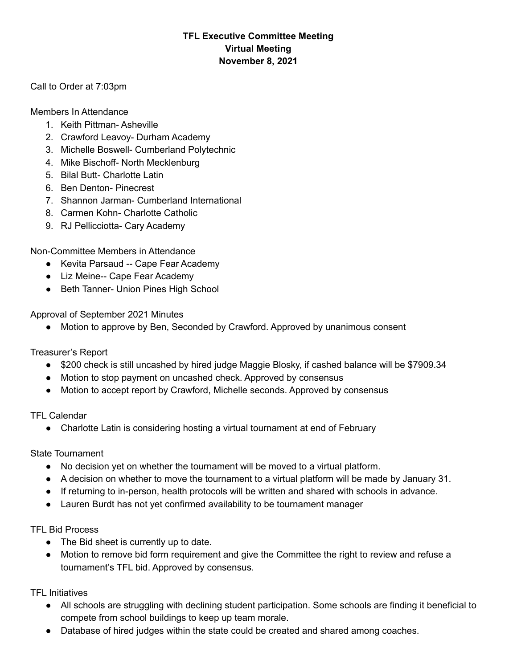## **TFL Executive Committee Meeting Virtual Meeting November 8, 2021**

Call to Order at 7:03pm

Members In Attendance

- 1. Keith Pittman- Asheville
- 2. Crawford Leavoy- Durham Academy
- 3. Michelle Boswell- Cumberland Polytechnic
- 4. Mike Bischoff- North Mecklenburg
- 5. Bilal Butt- Charlotte Latin
- 6. Ben Denton- Pinecrest
- 7. Shannon Jarman- Cumberland International
- 8. Carmen Kohn- Charlotte Catholic
- 9. RJ Pellicciotta- Cary Academy

Non-Committee Members in Attendance

- Kevita Parsaud -- Cape Fear Academy
- Liz Meine-- Cape Fear Academy
- Beth Tanner- Union Pines High School

Approval of September 2021 Minutes

Motion to approve by Ben, Seconded by Crawford. Approved by unanimous consent

Treasurer's Report

- \$200 check is still uncashed by hired judge Maggie Blosky, if cashed balance will be \$7909.34
- Motion to stop payment on uncashed check. Approved by consensus
- Motion to accept report by Crawford, Michelle seconds. Approved by consensus

TFL Calendar

● Charlotte Latin is considering hosting a virtual tournament at end of February

State Tournament

- No decision yet on whether the tournament will be moved to a virtual platform.
- A decision on whether to move the tournament to a virtual platform will be made by January 31.
- If returning to in-person, health protocols will be written and shared with schools in advance.
- Lauren Burdt has not yet confirmed availability to be tournament manager

## TFL Bid Process

- The Bid sheet is currently up to date.
- Motion to remove bid form requirement and give the Committee the right to review and refuse a tournament's TFL bid. Approved by consensus.

TFL Initiatives

- All schools are struggling with declining student participation. Some schools are finding it beneficial to compete from school buildings to keep up team morale.
- Database of hired judges within the state could be created and shared among coaches.